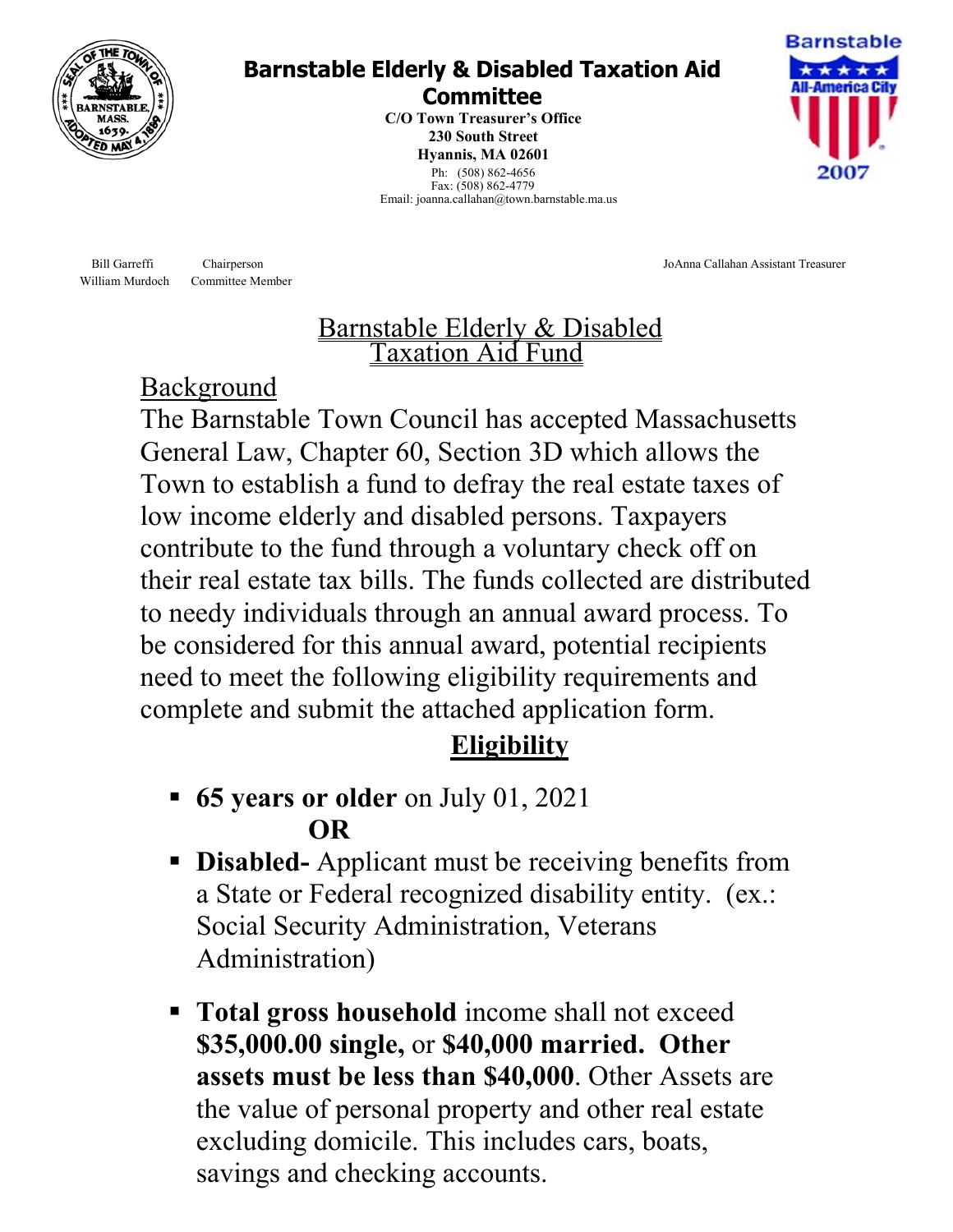

### **Barnstable Elderly & Disabled Taxation Aid Committee**

**230 South Street C/O Town Treasurer's Office Hyannis, MA 02601**  Ph: (508) 862-4656 Fax: (508) 862-4779 Email: joanna.callahan@town.barnstable.ma.us



Bill Garreffi Chairperson JoAnna Callahan Assistant Treasurer

# Barnstable Elderly & Disabled Taxation Aid Fund

## Background

William Murdoch Committee Member

The Barnstable Town Council has accepted Massachusetts General Law, Chapter 60, Section 3D which allows the Town to establish a fund to defray the real estate taxes of low income elderly and disabled persons. Taxpayers contribute to the fund through a voluntary check off on their real estate tax bills. The funds collected are distributed to needy individuals through an annual award process. To be considered for this annual award, potential recipients need to meet the following eligibility requirements and complete and submit the attached application form.

# **Eligibility**

- **65 years or older** on July 01, 2021 **OR**
- **Disabled-** Applicant must be receiving benefits from a State or Federal recognized disability entity. (ex.: Social Security Administration, Veterans Administration)
- **Total gross household** income shall not exceed **\$35,000.00 single,** or **\$40,000 married. Other assets must be less than \$40,000**. Other Assets are the value of personal property and other real estate excluding domicile. This includes cars, boats, savings and checking accounts.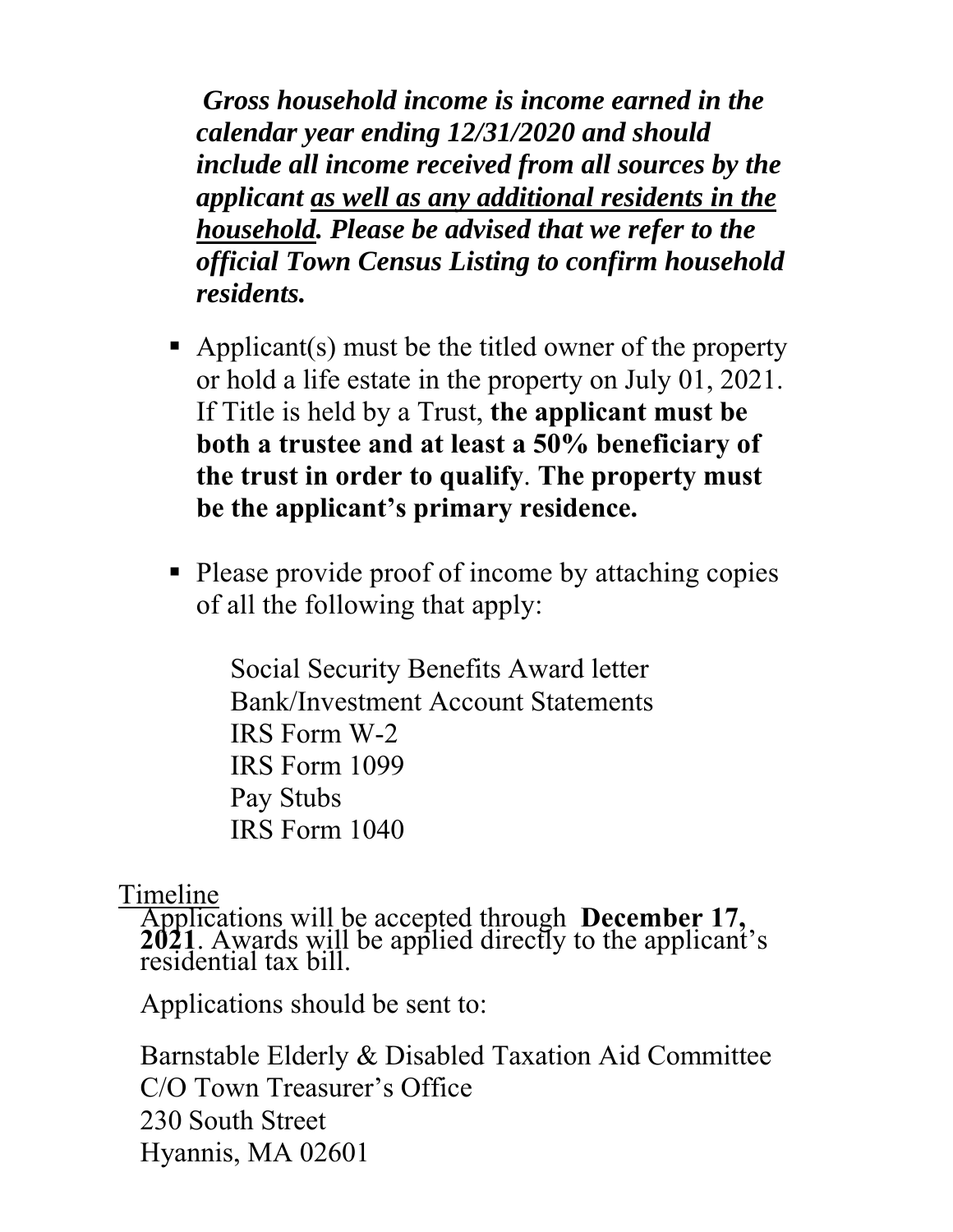*Gross household income is income earned in the calendar year ending 12/31/2020 and should include all income received from all sources by the applicant as well as any additional residents in the household. Please be advised that we refer to the official Town Census Listing to confirm household residents.* 

- Applicant(s) must be the titled owner of the property or hold a life estate in the property on July 01, 2021. If Title is held by a Trust, **the applicant must be both a trustee and at least a 50% beneficiary of the trust in order to qualify**. **The property must be the applicant's primary residence.**
- Please provide proof of income by attaching copies of all the following that apply:

Social Security Benefits Award letter Bank/Investment Account Statements IRS Form W-2 IRS Form 1099 Pay Stubs IRS Form 1040

Timeline

Applications will be accepted through **December 17, 2021**. Awards will be applied directly to the applicant's residential tax bill.

Applications should be sent to:

Barnstable Elderly & Disabled Taxation Aid Committee C/O Town Treasurer's Office 230 South Street Hyannis, MA 02601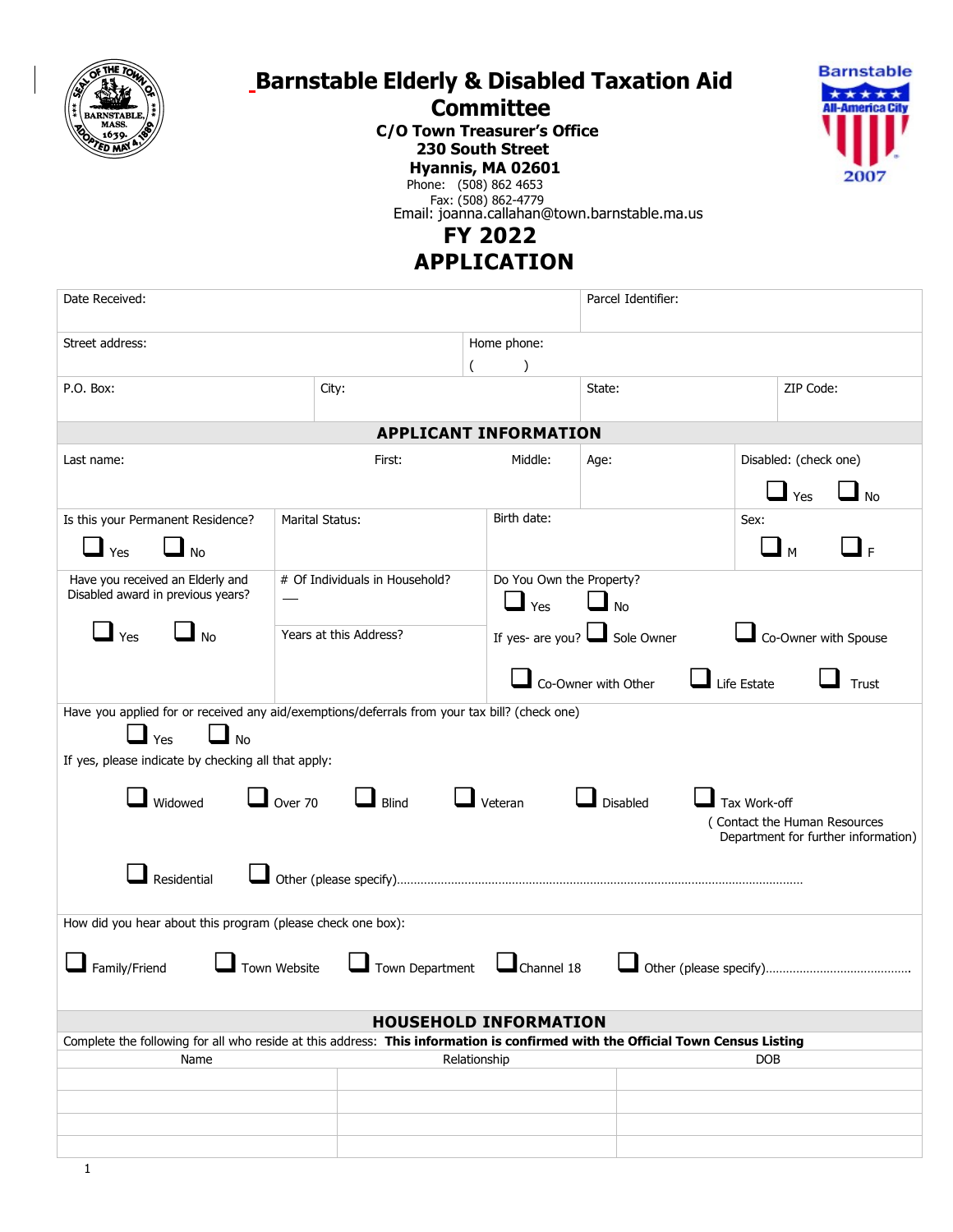

## **Barnstable Elderly & Disabled Taxation Aid**

## **Committee**

**C/O Town Treasurer's Office 230 South Street Hyannis, MA 02601**



Phone: (508) 862 4653 Fax: (508) 862-4779

Email: joanna.callahan@town.barnstable.ma.us

#### **FY 2022**

 **APPLICATION**

| Date Received:                                                                                                                 |                                |                          | Parcel Identifier:                 |                       |  |  |  |
|--------------------------------------------------------------------------------------------------------------------------------|--------------------------------|--------------------------|------------------------------------|-----------------------|--|--|--|
| Street address:                                                                                                                |                                | Home phone:              |                                    |                       |  |  |  |
|                                                                                                                                |                                | J                        |                                    |                       |  |  |  |
| P.O. Box:                                                                                                                      | City:                          |                          | State:                             | ZIP Code:             |  |  |  |
| <b>APPLICANT INFORMATION</b>                                                                                                   |                                |                          |                                    |                       |  |  |  |
| Last name:                                                                                                                     | First:                         | Middle:                  | Age:                               | Disabled: (check one) |  |  |  |
|                                                                                                                                |                                |                          |                                    | No<br>Yes             |  |  |  |
| Is this your Permanent Residence?                                                                                              | <b>Marital Status:</b>         | Birth date:              |                                    | Sex:                  |  |  |  |
| Yes<br><b>No</b>                                                                                                               |                                |                          |                                    | ┛╒<br>M               |  |  |  |
| Have you received an Elderly and                                                                                               | # Of Individuals in Household? | Do You Own the Property? |                                    |                       |  |  |  |
| Disabled award in previous years?                                                                                              |                                |                          | $\Box$ Yes<br>$\Box$ No            |                       |  |  |  |
| Yes<br><b>No</b>                                                                                                               | Years at this Address?         |                          | If yes- are you? $\Box$ Sole Owner | Co-Owner with Spouse  |  |  |  |
|                                                                                                                                |                                |                          | Co-Owner with Other                | Life Estate<br>Trust  |  |  |  |
| Have you applied for or received any aid/exemptions/deferrals from your tax bill? (check one)                                  |                                |                          |                                    |                       |  |  |  |
| $\Box$ No<br>$\blacksquare$ Yes                                                                                                |                                |                          |                                    |                       |  |  |  |
| If yes, please indicate by checking all that apply:                                                                            |                                |                          |                                    |                       |  |  |  |
| $\Box$ Over 70                                                                                                                 |                                |                          |                                    |                       |  |  |  |
| Widowed<br>Blind<br>Veteran<br>Disabled<br>Tax Work-off<br>(Contact the Human Resources                                        |                                |                          |                                    |                       |  |  |  |
| Department for further information)                                                                                            |                                |                          |                                    |                       |  |  |  |
|                                                                                                                                |                                |                          |                                    |                       |  |  |  |
| Residential                                                                                                                    |                                |                          |                                    |                       |  |  |  |
| How did you hear about this program (please check one box):                                                                    |                                |                          |                                    |                       |  |  |  |
|                                                                                                                                |                                |                          |                                    |                       |  |  |  |
| Town Department Channel 18<br>Town Website<br>Family/Friend                                                                    |                                |                          |                                    |                       |  |  |  |
|                                                                                                                                |                                |                          |                                    |                       |  |  |  |
| <b>HOUSEHOLD INFORMATION</b>                                                                                                   |                                |                          |                                    |                       |  |  |  |
| Complete the following for all who reside at this address: This information is confirmed with the Official Town Census Listing |                                |                          |                                    |                       |  |  |  |
| Name                                                                                                                           |                                | Relationship             |                                    | <b>DOB</b>            |  |  |  |
|                                                                                                                                |                                |                          |                                    |                       |  |  |  |
|                                                                                                                                |                                |                          |                                    |                       |  |  |  |
|                                                                                                                                |                                |                          |                                    |                       |  |  |  |
|                                                                                                                                |                                |                          |                                    |                       |  |  |  |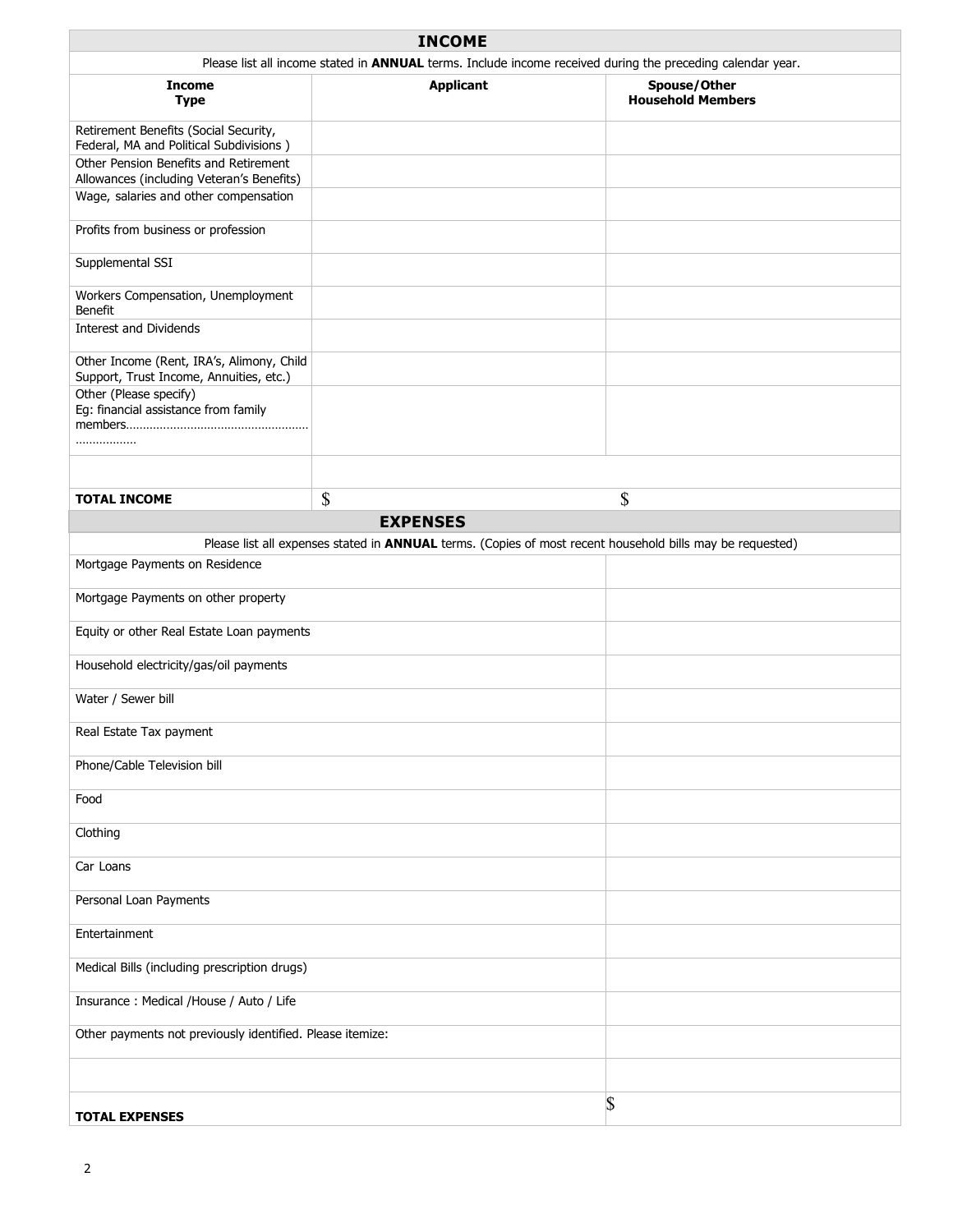| <b>INCOME</b>                                                                                              |                                                                                                           |                                          |  |  |
|------------------------------------------------------------------------------------------------------------|-----------------------------------------------------------------------------------------------------------|------------------------------------------|--|--|
| Please list all income stated in ANNUAL terms. Include income received during the preceding calendar year. |                                                                                                           |                                          |  |  |
| <b>Income</b><br><b>Type</b>                                                                               | <b>Applicant</b>                                                                                          | Spouse/Other<br><b>Household Members</b> |  |  |
| Retirement Benefits (Social Security,<br>Federal, MA and Political Subdivisions)                           |                                                                                                           |                                          |  |  |
| Other Pension Benefits and Retirement<br>Allowances (including Veteran's Benefits)                         |                                                                                                           |                                          |  |  |
| Wage, salaries and other compensation                                                                      |                                                                                                           |                                          |  |  |
| Profits from business or profession                                                                        |                                                                                                           |                                          |  |  |
| Supplemental SSI                                                                                           |                                                                                                           |                                          |  |  |
| Workers Compensation, Unemployment<br>Benefit                                                              |                                                                                                           |                                          |  |  |
| <b>Interest and Dividends</b>                                                                              |                                                                                                           |                                          |  |  |
| Other Income (Rent, IRA's, Alimony, Child<br>Support, Trust Income, Annuities, etc.)                       |                                                                                                           |                                          |  |  |
| Other (Please specify)<br>Eq: financial assistance from family<br>.                                        |                                                                                                           |                                          |  |  |
|                                                                                                            |                                                                                                           |                                          |  |  |
| <b>TOTAL INCOME</b>                                                                                        | \$                                                                                                        | \$                                       |  |  |
|                                                                                                            | <b>EXPENSES</b>                                                                                           |                                          |  |  |
|                                                                                                            | Please list all expenses stated in ANNUAL terms. (Copies of most recent household bills may be requested) |                                          |  |  |
| Mortgage Payments on Residence                                                                             |                                                                                                           |                                          |  |  |
| Mortgage Payments on other property                                                                        |                                                                                                           |                                          |  |  |
| Equity or other Real Estate Loan payments                                                                  |                                                                                                           |                                          |  |  |
| Household electricity/gas/oil payments                                                                     |                                                                                                           |                                          |  |  |
| Water / Sewer bill                                                                                         |                                                                                                           |                                          |  |  |
| Real Estate Tax payment                                                                                    |                                                                                                           |                                          |  |  |
| Phone/Cable Television bill                                                                                |                                                                                                           |                                          |  |  |
| Food                                                                                                       |                                                                                                           |                                          |  |  |
| Clothing                                                                                                   |                                                                                                           |                                          |  |  |
| Car Loans                                                                                                  |                                                                                                           |                                          |  |  |
| Personal Loan Payments                                                                                     |                                                                                                           |                                          |  |  |
| Entertainment                                                                                              |                                                                                                           |                                          |  |  |
| Medical Bills (including prescription drugs)                                                               |                                                                                                           |                                          |  |  |
| Insurance : Medical /House / Auto / Life                                                                   |                                                                                                           |                                          |  |  |
| Other payments not previously identified. Please itemize:                                                  |                                                                                                           |                                          |  |  |
|                                                                                                            |                                                                                                           |                                          |  |  |
| <b>TOTAL EXPENSES</b>                                                                                      |                                                                                                           | S                                        |  |  |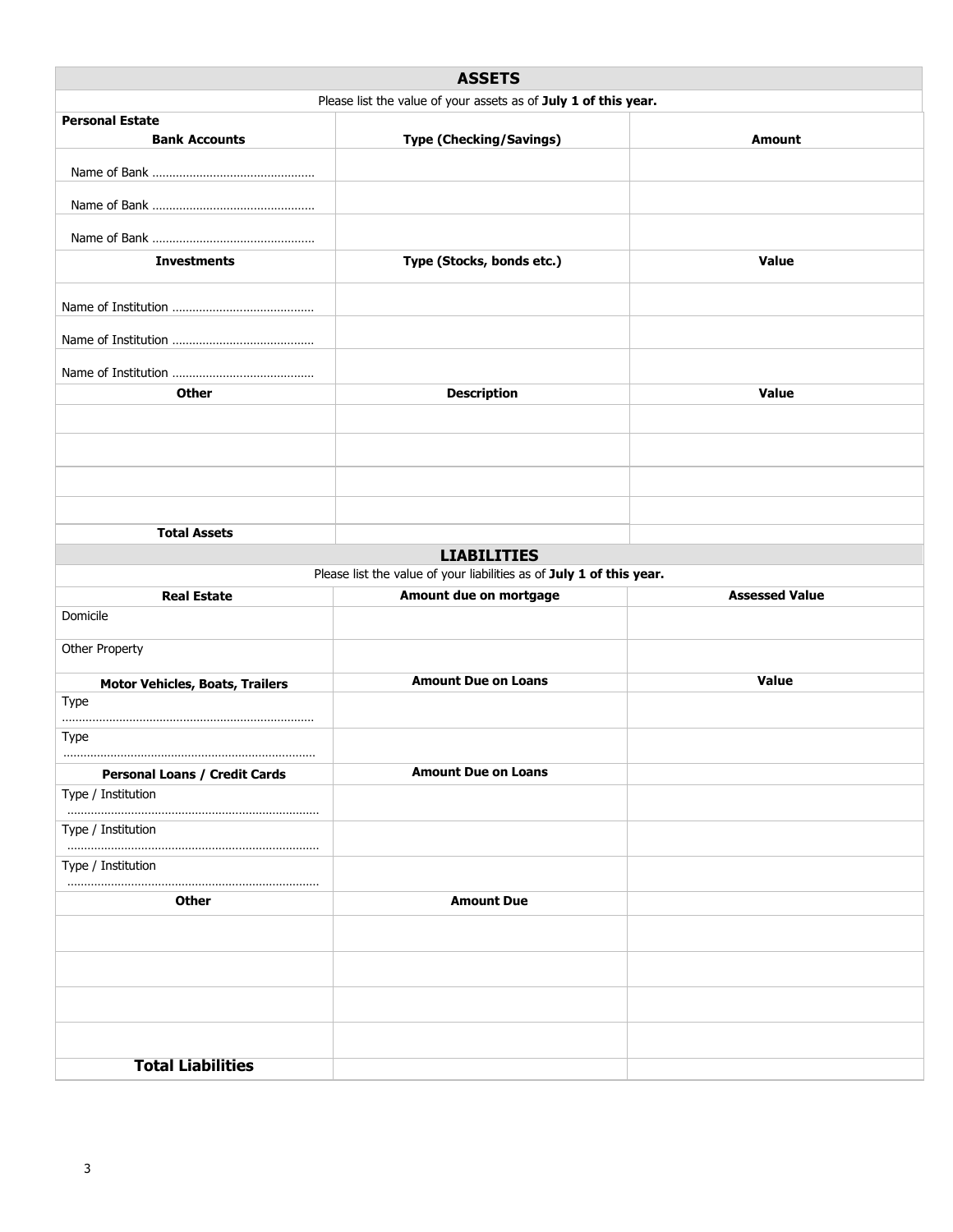|                                                | <b>ASSETS</b>                                                                              |                       |
|------------------------------------------------|--------------------------------------------------------------------------------------------|-----------------------|
|                                                | Please list the value of your assets as of July 1 of this year.                            |                       |
| <b>Personal Estate</b><br><b>Bank Accounts</b> | <b>Type (Checking/Savings)</b>                                                             | <b>Amount</b>         |
|                                                |                                                                                            |                       |
|                                                |                                                                                            |                       |
|                                                |                                                                                            |                       |
| <b>Investments</b>                             | Type (Stocks, bonds etc.)                                                                  | Value                 |
|                                                |                                                                                            |                       |
|                                                |                                                                                            |                       |
|                                                |                                                                                            |                       |
|                                                |                                                                                            |                       |
| <b>Other</b>                                   | <b>Description</b>                                                                         | Value                 |
|                                                |                                                                                            |                       |
|                                                |                                                                                            |                       |
|                                                |                                                                                            |                       |
|                                                |                                                                                            |                       |
| <b>Total Assets</b>                            |                                                                                            |                       |
|                                                | <b>LIABILITIES</b><br>Please list the value of your liabilities as of July 1 of this year. |                       |
| <b>Real Estate</b>                             | Amount due on mortgage                                                                     | <b>Assessed Value</b> |
| Domicile                                       |                                                                                            |                       |
| Other Property                                 |                                                                                            |                       |
| <b>Motor Vehicles, Boats, Trailers</b>         | <b>Amount Due on Loans</b>                                                                 | Value                 |
| Type                                           |                                                                                            |                       |
| Type                                           |                                                                                            |                       |
| <b>Personal Loans / Credit Cards</b>           | <b>Amount Due on Loans</b>                                                                 |                       |
| Type / Institution                             |                                                                                            |                       |
| Type / Institution                             |                                                                                            |                       |
| Type / Institution                             |                                                                                            |                       |
| Other                                          | <b>Amount Due</b>                                                                          |                       |
|                                                |                                                                                            |                       |
|                                                |                                                                                            |                       |
|                                                |                                                                                            |                       |
|                                                |                                                                                            |                       |
|                                                |                                                                                            |                       |
| <b>Total Liabilities</b>                       |                                                                                            |                       |